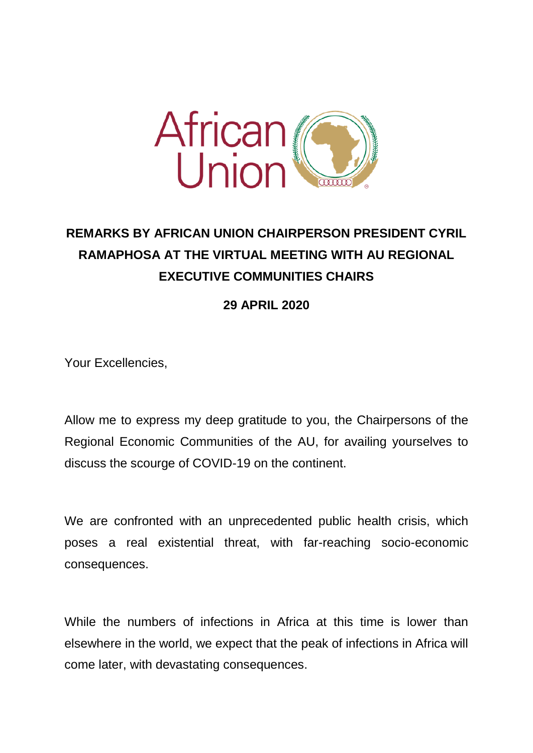

## **REMARKS BY AFRICAN UNION CHAIRPERSON PRESIDENT CYRIL RAMAPHOSA AT THE VIRTUAL MEETING WITH AU REGIONAL EXECUTIVE COMMUNITIES CHAIRS**

**29 APRIL 2020**

Your Excellencies,

Allow me to express my deep gratitude to you, the Chairpersons of the Regional Economic Communities of the AU, for availing yourselves to discuss the scourge of COVID-19 on the continent.

We are confronted with an unprecedented public health crisis, which poses a real existential threat, with far-reaching socio-economic consequences.

While the numbers of infections in Africa at this time is lower than elsewhere in the world, we expect that the peak of infections in Africa will come later, with devastating consequences.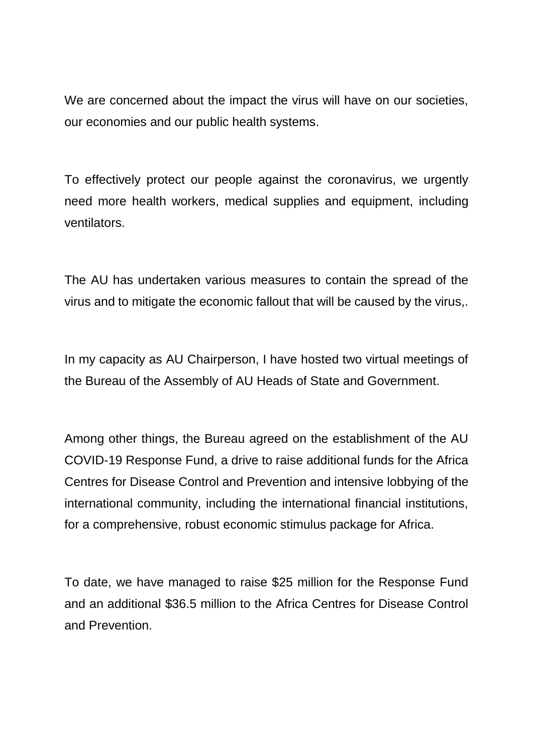We are concerned about the impact the virus will have on our societies, our economies and our public health systems.

To effectively protect our people against the coronavirus, we urgently need more health workers, medical supplies and equipment, including ventilators.

The AU has undertaken various measures to contain the spread of the virus and to mitigate the economic fallout that will be caused by the virus,.

In my capacity as AU Chairperson, I have hosted two virtual meetings of the Bureau of the Assembly of AU Heads of State and Government.

Among other things, the Bureau agreed on the establishment of the AU COVID-19 Response Fund, a drive to raise additional funds for the Africa Centres for Disease Control and Prevention and intensive lobbying of the international community, including the international financial institutions, for a comprehensive, robust economic stimulus package for Africa.

To date, we have managed to raise \$25 million for the Response Fund and an additional \$36.5 million to the Africa Centres for Disease Control and Prevention.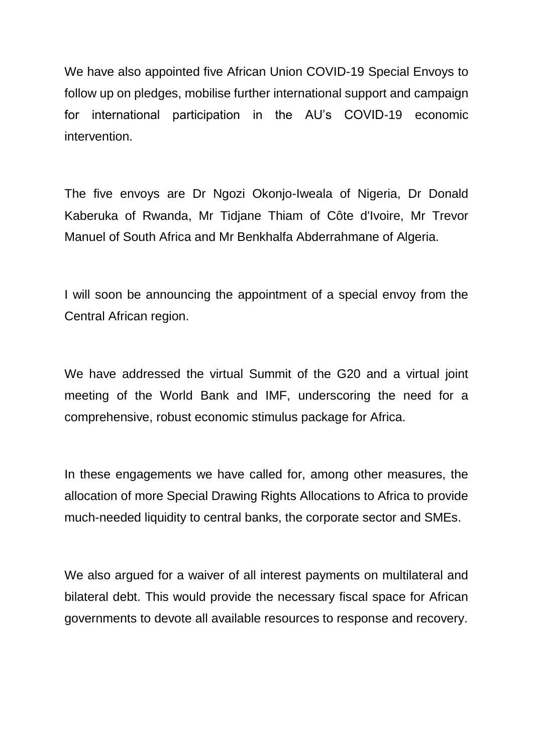We have also appointed five African Union COVID-19 Special Envoys to follow up on pledges, mobilise further international support and campaign for international participation in the AU's COVID-19 economic intervention.

The five envoys are Dr Ngozi Okonjo-Iweala of Nigeria, Dr Donald Kaberuka of Rwanda, Mr Tidjane Thiam of Côte d'Ivoire, Mr Trevor Manuel of South Africa and Mr Benkhalfa Abderrahmane of Algeria.

I will soon be announcing the appointment of a special envoy from the Central African region.

We have addressed the virtual Summit of the G20 and a virtual joint meeting of the World Bank and IMF, underscoring the need for a comprehensive, robust economic stimulus package for Africa.

In these engagements we have called for, among other measures, the allocation of more Special Drawing Rights Allocations to Africa to provide much-needed liquidity to central banks, the corporate sector and SMEs.

We also argued for a waiver of all interest payments on multilateral and bilateral debt. This would provide the necessary fiscal space for African governments to devote all available resources to response and recovery.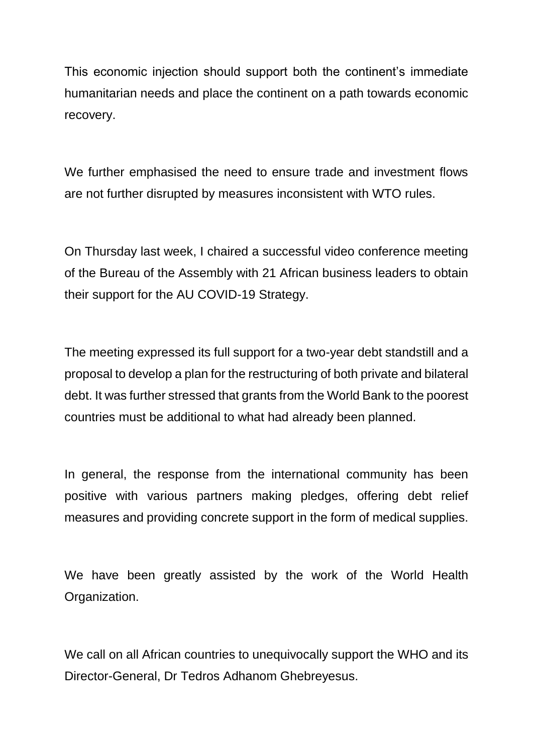This economic injection should support both the continent's immediate humanitarian needs and place the continent on a path towards economic recovery.

We further emphasised the need to ensure trade and investment flows are not further disrupted by measures inconsistent with WTO rules.

On Thursday last week, I chaired a successful video conference meeting of the Bureau of the Assembly with 21 African business leaders to obtain their support for the AU COVID-19 Strategy.

The meeting expressed its full support for a two-year debt standstill and a proposal to develop a plan for the restructuring of both private and bilateral debt. It was further stressed that grants from the World Bank to the poorest countries must be additional to what had already been planned.

In general, the response from the international community has been positive with various partners making pledges, offering debt relief measures and providing concrete support in the form of medical supplies.

We have been greatly assisted by the work of the World Health Organization.

We call on all African countries to unequivocally support the WHO and its Director-General, Dr Tedros Adhanom Ghebreyesus.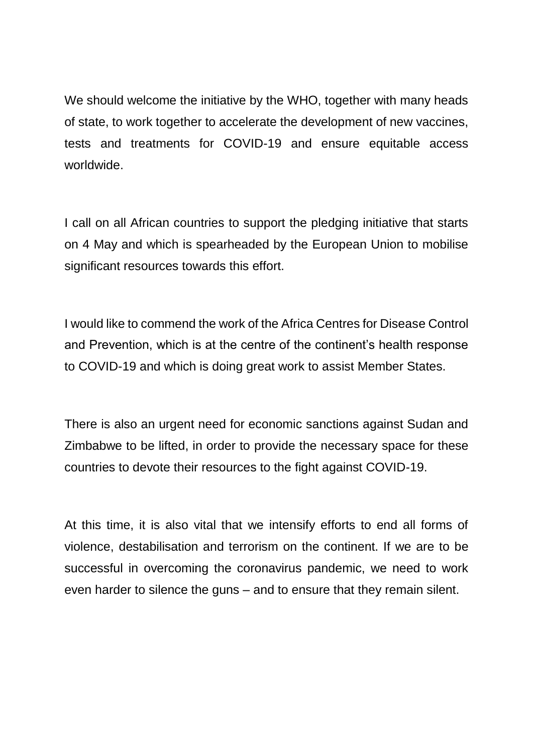We should welcome the initiative by the WHO, together with many heads of state, to work together to accelerate the development of new vaccines, tests and treatments for COVID-19 and ensure equitable access worldwide.

I call on all African countries to support the pledging initiative that starts on 4 May and which is spearheaded by the European Union to mobilise significant resources towards this effort.

I would like to commend the work of the Africa Centres for Disease Control and Prevention, which is at the centre of the continent's health response to COVID-19 and which is doing great work to assist Member States.

There is also an urgent need for economic sanctions against Sudan and Zimbabwe to be lifted, in order to provide the necessary space for these countries to devote their resources to the fight against COVID-19.

At this time, it is also vital that we intensify efforts to end all forms of violence, destabilisation and terrorism on the continent. If we are to be successful in overcoming the coronavirus pandemic, we need to work even harder to silence the guns – and to ensure that they remain silent.